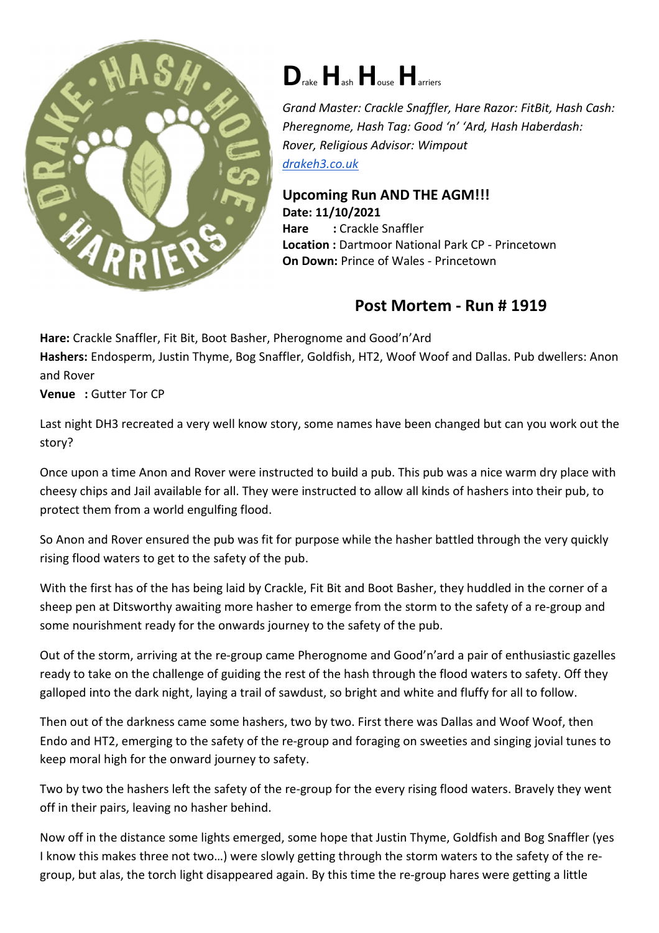

## **D**rake**H**ash**H**ouse**H**arriers

*Grand Master: Crackle Snaffler, Hare Razor: FitBit, Hash Cash: Pheregnome, Hash Tag: Good 'n' 'Ard, Hash Haberdash: Rover, Religious Advisor: Wimpout drakeh3.co.uk*

## **Upcoming Run AND THE AGM!!! Date: 11/10/2021 Hare :** Crackle Snaffler **Location :** Dartmoor National Park CP - Princetown **On Down:** Prince of Wales - Princetown

## **Post Mortem - Run # 1919**

**Hare:** Crackle Snaffler, Fit Bit, Boot Basher, Pherognome and Good'n'Ard **Hashers:** Endosperm, Justin Thyme, Bog Snaffler, Goldfish, HT2, Woof Woof and Dallas. Pub dwellers: Anon and Rover

**Venue :** Gutter Tor CP

Last night DH3 recreated a very well know story, some names have been changed but can you work out the story?

Once upon a time Anon and Rover were instructed to build a pub. This pub was a nice warm dry place with cheesy chips and Jail available for all. They were instructed to allow all kinds of hashers into their pub, to protect them from a world engulfing flood.

So Anon and Rover ensured the pub was fit for purpose while the hasher battled through the very quickly rising flood waters to get to the safety of the pub.

With the first has of the has being laid by Crackle, Fit Bit and Boot Basher, they huddled in the corner of a sheep pen at Ditsworthy awaiting more hasher to emerge from the storm to the safety of a re-group and some nourishment ready for the onwards journey to the safety of the pub.

Out of the storm, arriving at the re-group came Pherognome and Good'n'ard a pair of enthusiastic gazelles ready to take on the challenge of guiding the rest of the hash through the flood waters to safety. Off they galloped into the dark night, laying a trail of sawdust, so bright and white and fluffy for all to follow.

Then out of the darkness came some hashers, two by two. First there was Dallas and Woof Woof, then Endo and HT2, emerging to the safety of the re-group and foraging on sweeties and singing jovial tunes to keep moral high for the onward journey to safety.

Two by two the hashers left the safety of the re-group for the every rising flood waters. Bravely they went off in their pairs, leaving no hasher behind.

Now off in the distance some lights emerged, some hope that Justin Thyme, Goldfish and Bog Snaffler (yes I know this makes three not two…) were slowly getting through the storm waters to the safety of the regroup, but alas, the torch light disappeared again. By this time the re-group hares were getting a little